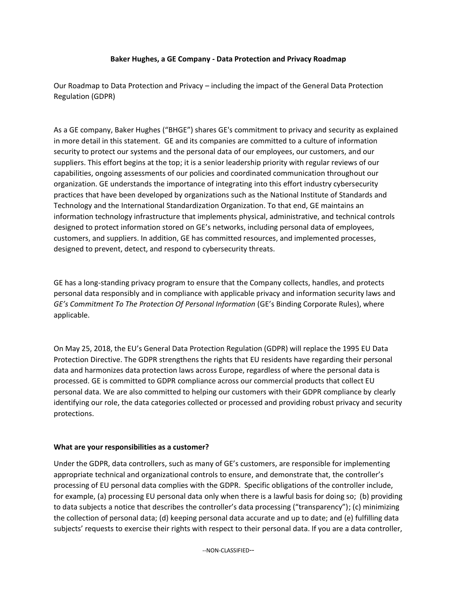## **Baker Hughes, a GE Company - Data Protection and Privacy Roadmap**

Our Roadmap to Data Protection and Privacy – including the impact of the General Data Protection Regulation (GDPR)

As a GE company, Baker Hughes ("BHGE") shares GE's commitment to privacy and security as explained in more detail in this statement. GE and its companies are committed to a culture of information security to protect our systems and the personal data of our employees, our customers, and our suppliers. This effort begins at the top; it is a senior leadership priority with regular reviews of our capabilities, ongoing assessments of our policies and coordinated communication throughout our organization. GE understands the importance of integrating into this effort industry cybersecurity practices that have been developed by organizations such as the National Institute of Standards and Technology and the International Standardization Organization. To that end, GE maintains an information technology infrastructure that implements physical, administrative, and technical controls designed to protect information stored on GE's networks, including personal data of employees, customers, and suppliers. In addition, GE has committed resources, and implemented processes, designed to prevent, detect, and respond to cybersecurity threats.

GE has a long-standing privacy program to ensure that the Company collects, handles, and protects personal data responsibly and in compliance with applicable privacy and information security laws and *GE's Commitment To The Protection Of Personal Information* (GE's Binding Corporate Rules), where applicable.

On May 25, 2018, the EU's General Data Protection Regulation (GDPR) will replace the 1995 EU Data Protection Directive. The GDPR strengthens the rights that EU residents have regarding their personal data and harmonizes data protection laws across Europe, regardless of where the personal data is processed. GE is committed to GDPR compliance across our commercial products that collect EU personal data. We are also committed to helping our customers with their GDPR compliance by clearly identifying our role, the data categories collected or processed and providing robust privacy and security protections.

## **What are your responsibilities as a customer?**

Under the GDPR, data controllers, such as many of GE's customers, are responsible for implementing appropriate technical and organizational controls to ensure, and demonstrate that, the controller's processing of EU personal data complies with the GDPR. Specific obligations of the controller include, for example, (a) processing EU personal data only when there is a lawful basis for doing so; (b) providing to data subjects a notice that describes the controller's data processing ("transparency"); (c) minimizing the collection of personal data; (d) keeping personal data accurate and up to date; and (e) fulfilling data subjects' requests to exercise their rights with respect to their personal data. If you are a data controller,